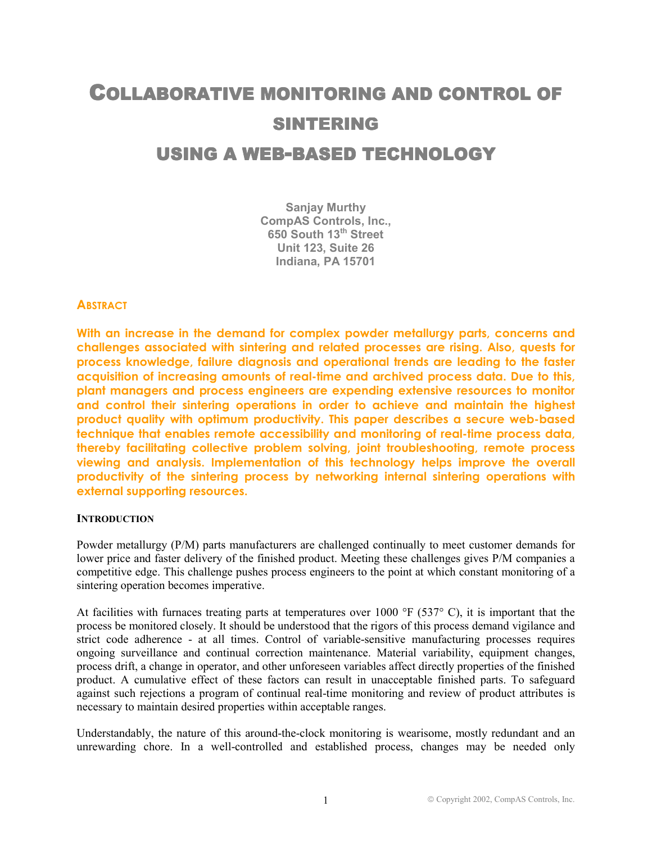# **COLLABORATIVE MONITORING AND CONTROL OF** SINTERING USING A WEB-BASED TECHNOLOGY

**Sanjay Murthy CompAS Controls, Inc., 650 South 13th Street Unit 123, Suite 26 Indiana, PA 15701**

# **ABSTRACT**

**With an increase in the demand for complex powder metallurgy parts, concerns and challenges associated with sintering and related processes are rising. Also, quests for process knowledge, failure diagnosis and operational trends are leading to the faster acquisition of increasing amounts of real-time and archived process data. Due to this, plant managers and process engineers are expending extensive resources to monitor and control their sintering operations in order to achieve and maintain the highest product quality with optimum productivity. This paper describes a secure web-based technique that enables remote accessibility and monitoring of real-time process data, thereby facilitating collective problem solving, joint troubleshooting, remote process viewing and analysis. Implementation of this technology helps improve the overall productivity of the sintering process by networking internal sintering operations with external supporting resources.**

#### **INTRODUCTION**

Powder metallurgy (P/M) parts manufacturers are challenged continually to meet customer demands for lower price and faster delivery of the finished product. Meeting these challenges gives P/M companies a competitive edge. This challenge pushes process engineers to the point at which constant monitoring of a sintering operation becomes imperative.

At facilities with furnaces treating parts at temperatures over 1000 °F (537° C), it is important that the process be monitored closely. It should be understood that the rigors of this process demand vigilance and strict code adherence - at all times. Control of variable-sensitive manufacturing processes requires ongoing surveillance and continual correction maintenance. Material variability, equipment changes, process drift, a change in operator, and other unforeseen variables affect directly properties of the finished product. A cumulative effect of these factors can result in unacceptable finished parts. To safeguard against such rejections a program of continual real-time monitoring and review of product attributes is necessary to maintain desired properties within acceptable ranges.

Understandably, the nature of this around-the-clock monitoring is wearisome, mostly redundant and an unrewarding chore. In a well-controlled and established process, changes may be needed only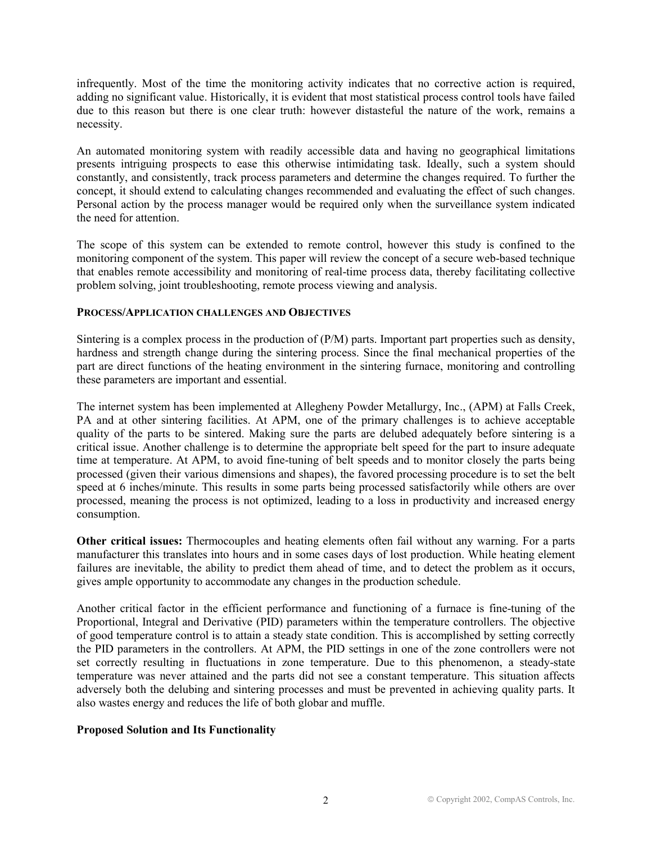infrequently. Most of the time the monitoring activity indicates that no corrective action is required, adding no significant value. Historically, it is evident that most statistical process control tools have failed due to this reason but there is one clear truth: however distasteful the nature of the work, remains a necessity.

An automated monitoring system with readily accessible data and having no geographical limitations presents intriguing prospects to ease this otherwise intimidating task. Ideally, such a system should constantly, and consistently, track process parameters and determine the changes required. To further the concept, it should extend to calculating changes recommended and evaluating the effect of such changes. Personal action by the process manager would be required only when the surveillance system indicated the need for attention.

The scope of this system can be extended to remote control, however this study is confined to the monitoring component of the system. This paper will review the concept of a secure web-based technique that enables remote accessibility and monitoring of real-time process data, thereby facilitating collective problem solving, joint troubleshooting, remote process viewing and analysis.

## **PROCESS/APPLICATION CHALLENGES AND OBJECTIVES**

Sintering is a complex process in the production of (P/M) parts. Important part properties such as density, hardness and strength change during the sintering process. Since the final mechanical properties of the part are direct functions of the heating environment in the sintering furnace, monitoring and controlling these parameters are important and essential.

The internet system has been implemented at Allegheny Powder Metallurgy, Inc., (APM) at Falls Creek, PA and at other sintering facilities. At APM, one of the primary challenges is to achieve acceptable quality of the parts to be sintered. Making sure the parts are delubed adequately before sintering is a critical issue. Another challenge is to determine the appropriate belt speed for the part to insure adequate time at temperature. At APM, to avoid fine-tuning of belt speeds and to monitor closely the parts being processed (given their various dimensions and shapes), the favored processing procedure is to set the belt speed at 6 inches/minute. This results in some parts being processed satisfactorily while others are over processed, meaning the process is not optimized, leading to a loss in productivity and increased energy consumption.

**Other critical issues:** Thermocouples and heating elements often fail without any warning. For a parts manufacturer this translates into hours and in some cases days of lost production. While heating element failures are inevitable, the ability to predict them ahead of time, and to detect the problem as it occurs, gives ample opportunity to accommodate any changes in the production schedule.

Another critical factor in the efficient performance and functioning of a furnace is fine-tuning of the Proportional, Integral and Derivative (PID) parameters within the temperature controllers. The objective of good temperature control is to attain a steady state condition. This is accomplished by setting correctly the PID parameters in the controllers. At APM, the PID settings in one of the zone controllers were not set correctly resulting in fluctuations in zone temperature. Due to this phenomenon, a steady-state temperature was never attained and the parts did not see a constant temperature. This situation affects adversely both the delubing and sintering processes and must be prevented in achieving quality parts. It also wastes energy and reduces the life of both globar and muffle.

# **Proposed Solution and Its Functionality**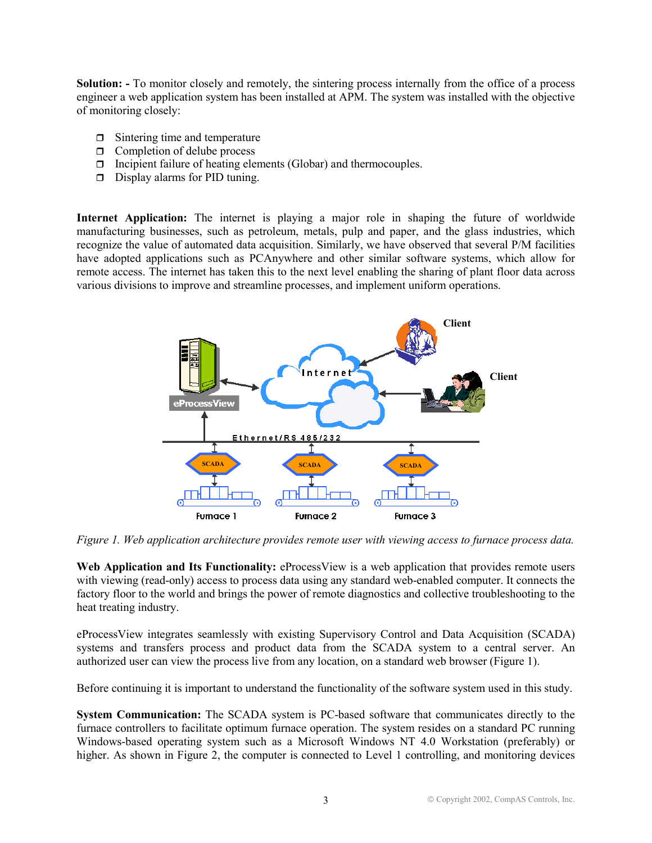**Solution: -** To monitor closely and remotely, the sintering process internally from the office of a process engineer a web application system has been installed at APM. The system was installed with the objective of monitoring closely:

- □ Sintering time and temperature
- □ Completion of delube process
- □ Incipient failure of heating elements (Globar) and thermocouples.
- Display alarms for PID tuning.

**Internet Application:** The internet is playing a major role in shaping the future of worldwide manufacturing businesses, such as petroleum, metals, pulp and paper, and the glass industries, which recognize the value of automated data acquisition. Similarly, we have observed that several P/M facilities have adopted applications such as PCAnywhere and other similar software systems, which allow for remote access. The internet has taken this to the next level enabling the sharing of plant floor data across various divisions to improve and streamline processes, and implement uniform operations.



*Figure 1. Web application architecture provides remote user with viewing access to furnace process data.* 

Web Application and Its Functionality: eProcessView is a web application that provides remote users with viewing (read-only) access to process data using any standard web-enabled computer. It connects the factory floor to the world and brings the power of remote diagnostics and collective troubleshooting to the heat treating industry.

eProcessView integrates seamlessly with existing Supervisory Control and Data Acquisition (SCADA) systems and transfers process and product data from the SCADA system to a central server. An authorized user can view the process live from any location, on a standard web browser (Figure 1).

Before continuing it is important to understand the functionality of the software system used in this study.

**System Communication:** The SCADA system is PC-based software that communicates directly to the furnace controllers to facilitate optimum furnace operation. The system resides on a standard PC running Windows-based operating system such as a Microsoft Windows NT 4.0 Workstation (preferably) or higher. As shown in Figure 2, the computer is connected to Level 1 controlling, and monitoring devices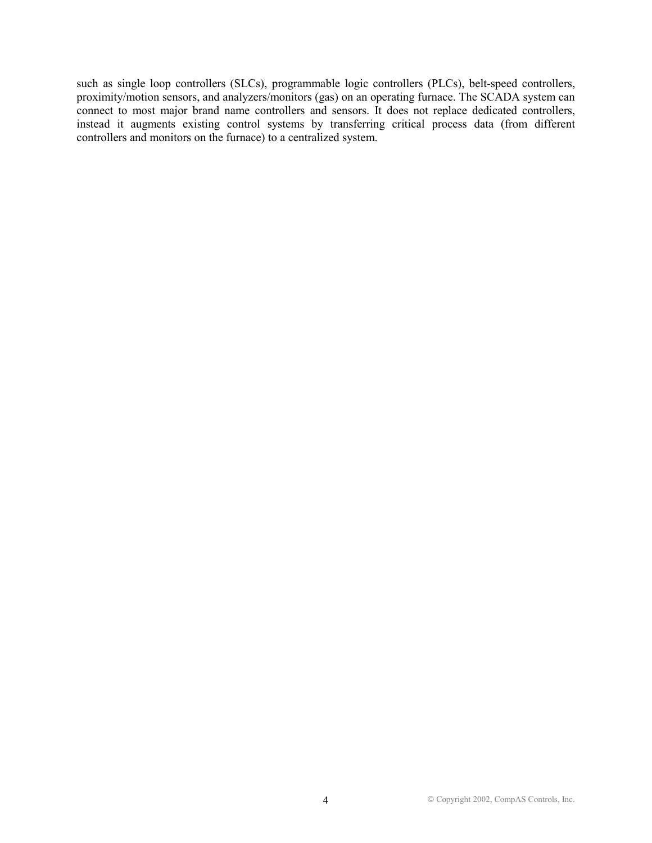such as single loop controllers (SLCs), programmable logic controllers (PLCs), belt-speed controllers, proximity/motion sensors, and analyzers/monitors (gas) on an operating furnace. The SCADA system can connect to most major brand name controllers and sensors. It does not replace dedicated controllers, instead it augments existing control systems by transferring critical process data (from different controllers and monitors on the furnace) to a centralized system.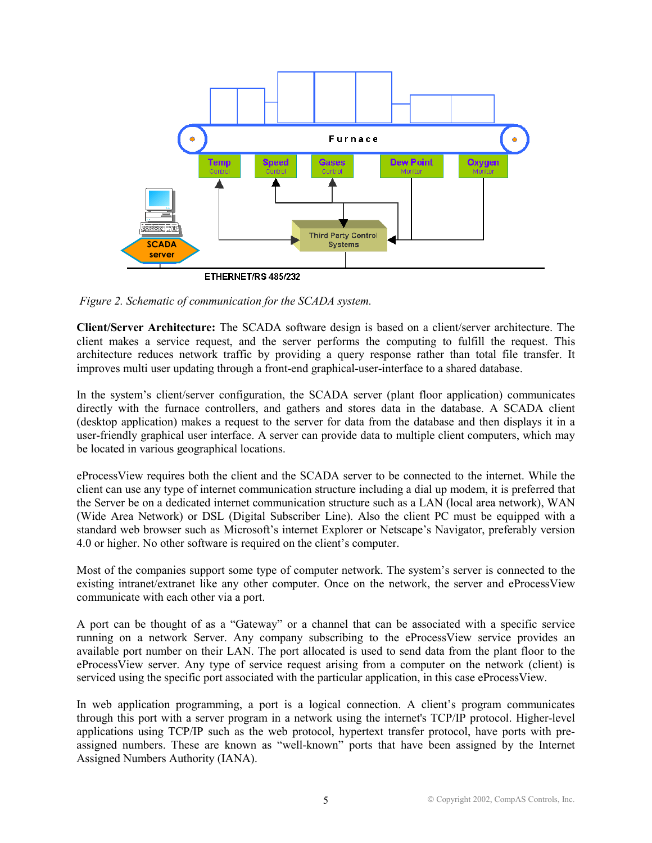

*Figure 2. Schematic of communication for the SCADA system.* 

**Client/Server Architecture:** The SCADA software design is based on a client/server architecture. The client makes a service request, and the server performs the computing to fulfill the request. This architecture reduces network traffic by providing a query response rather than total file transfer. It improves multi user updating through a front-end graphical-user-interface to a shared database.

In the system's client/server configuration, the SCADA server (plant floor application) communicates directly with the furnace controllers, and gathers and stores data in the database. A SCADA client (desktop application) makes a request to the server for data from the database and then displays it in a user-friendly graphical user interface. A server can provide data to multiple client computers, which may be located in various geographical locations.

eProcessView requires both the client and the SCADA server to be connected to the internet. While the client can use any type of internet communication structure including a dial up modem, it is preferred that the Server be on a dedicated internet communication structure such as a LAN (local area network), WAN (Wide Area Network) or DSL (Digital Subscriber Line). Also the client PC must be equipped with a standard web browser such as Microsoft's internet Explorer or Netscape's Navigator, preferably version 4.0 or higher. No other software is required on the client's computer.

Most of the companies support some type of computer network. The system's server is connected to the existing intranet/extranet like any other computer. Once on the network, the server and eProcessView communicate with each other via a port.

A port can be thought of as a "Gateway" or a channel that can be associated with a specific service running on a network Server. Any company subscribing to the eProcessView service provides an available port number on their LAN. The port allocated is used to send data from the plant floor to the eProcessView server. Any type of service request arising from a computer on the network (client) is serviced using the specific port associated with the particular application, in this case eProcessView.

In web application programming, a port is a logical connection. A client's program communicates through this port with a server program in a network using the internet's TCP/IP protocol. Higher-level applications using TCP/IP such as the web protocol, hypertext transfer protocol, have ports with preassigned numbers. These are known as "well-known" ports that have been assigned by the Internet Assigned Numbers Authority (IANA).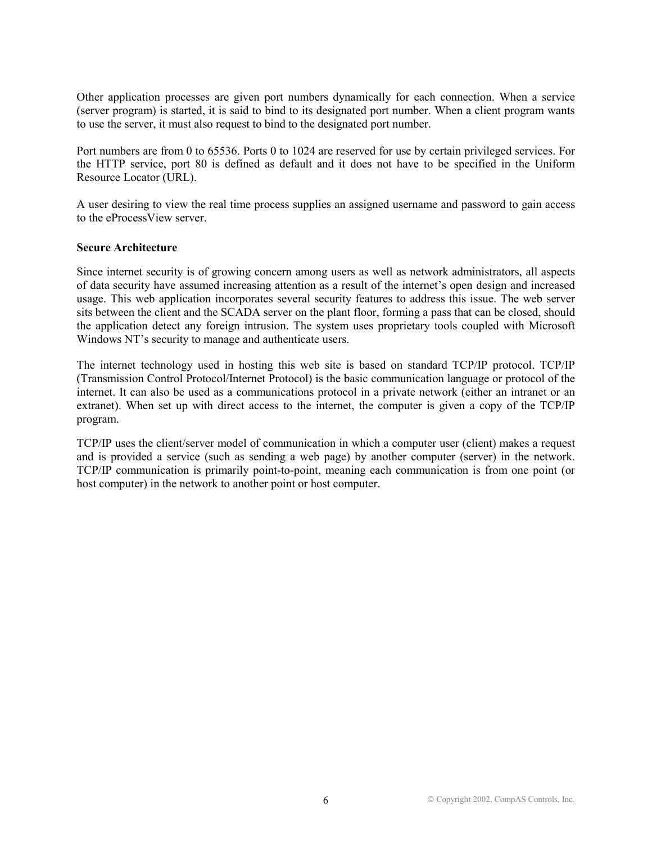Other application processes are given port numbers dynamically for each connection. When a service (server program) is started, it is said to bind to its designated port number. When a client program wants to use the server, it must also request to bind to the designated port number.

Port numbers are from 0 to 65536. Ports 0 to 1024 are reserved for use by certain privileged services. For the HTTP service, port 80 is defined as default and it does not have to be specified in the Uniform Resource Locator (URL).

A user desiring to view the real time process supplies an assigned username and password to gain access to the eProcessView server.

## **Secure Architecture**

Since internet security is of growing concern among users as well as network administrators, all aspects of data security have assumed increasing attention as a result of the internet's open design and increased usage. This web application incorporates several security features to address this issue. The web server sits between the client and the SCADA server on the plant floor, forming a pass that can be closed, should the application detect any foreign intrusion. The system uses proprietary tools coupled with Microsoft Windows NT's security to manage and authenticate users.

The internet technology used in hosting this web site is based on standard TCP/IP protocol. TCP/IP (Transmission Control Protocol/Internet Protocol) is the basic communication language or protocol of the internet. It can also be used as a communications protocol in a private network (either an intranet or an extranet). When set up with direct access to the internet, the computer is given a copy of the TCP/IP program.

TCP/IP uses the client/server model of communication in which a computer user (client) makes a request and is provided a service (such as sending a web page) by another computer (server) in the network. TCP/IP communication is primarily point-to-point, meaning each communication is from one point (or host computer) in the network to another point or host computer.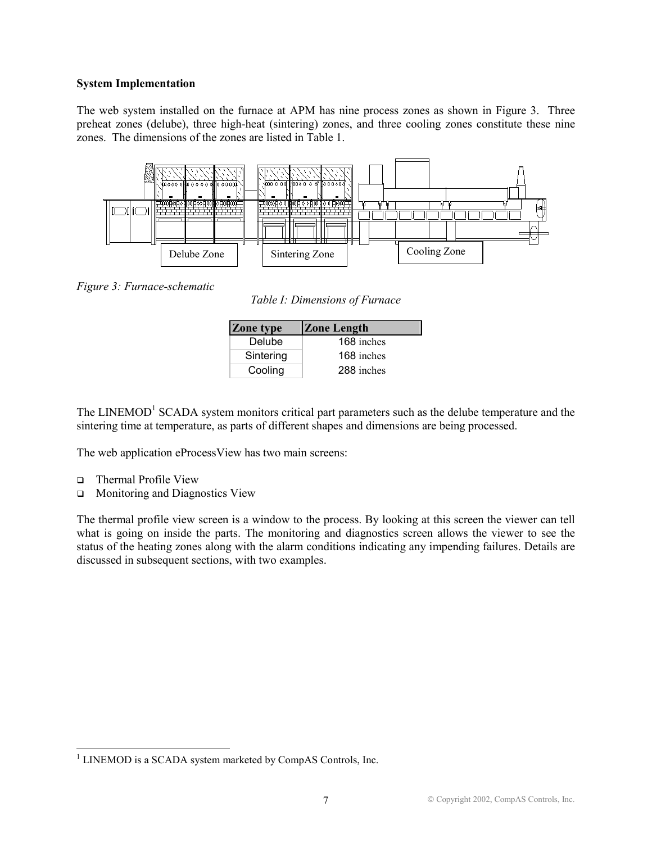# **System Implementation**

The web system installed on the furnace at APM has nine process zones as shown in Figure 3. Three preheat zones (delube), three high-heat (sintering) zones, and three cooling zones constitute these nine zones. The dimensions of the zones are listed in Table 1.



*Figure 3: Furnace-schematic* 

*Table I: Dimensions of Furnace* 

| Zone type | <b>Zone Length</b> |  |  |  |  |
|-----------|--------------------|--|--|--|--|
| Delube    | 168 inches         |  |  |  |  |
| Sintering | 168 inches         |  |  |  |  |
| Cooling   | 288 inches         |  |  |  |  |

The LINEMOD<sup>1</sup> SCADA system monitors critical part parameters such as the delube temperature and the sintering time at temperature, as parts of different shapes and dimensions are being processed.

The web application eProcessView has two main screens:

 $\Box$ Thermal Profile View

 $\overline{a}$ 

□ Monitoring and Diagnostics View

The thermal profile view screen is a window to the process. By looking at this screen the viewer can tell what is going on inside the parts. The monitoring and diagnostics screen allows the viewer to see the status of the heating zones along with the alarm conditions indicating any impending failures. Details are discussed in subsequent sections, with two examples.

<sup>&</sup>lt;sup>1</sup> LINEMOD is a SCADA system marketed by CompAS Controls, Inc.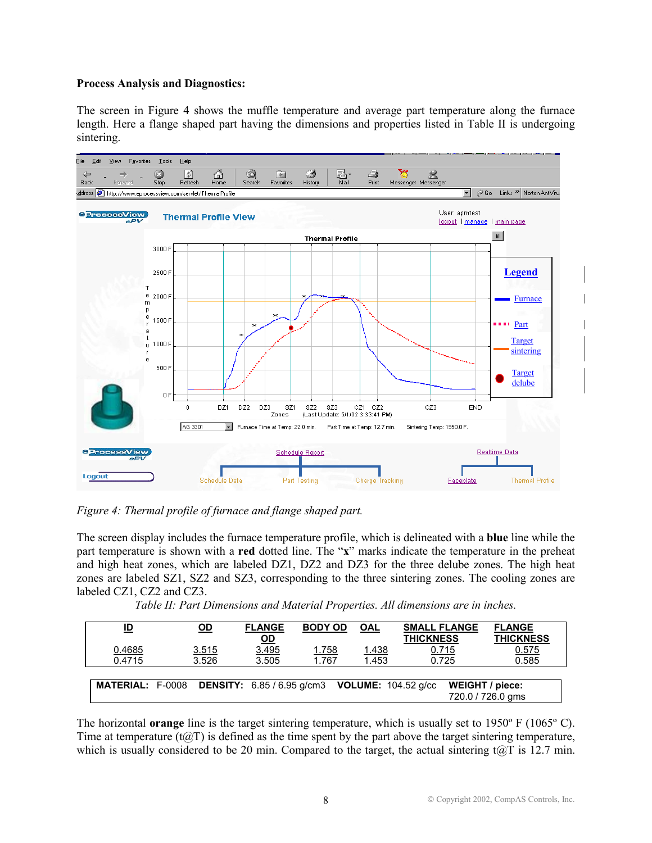## **Process Analysis and Diagnostics:**

The screen in Figure 4 shows the muffle temperature and average part temperature along the furnace length. Here a flange shaped part having the dimensions and properties listed in Table II is undergoing sintering.



*Figure 4: Thermal profile of furnace and flange shaped part.* 

The screen display includes the furnace temperature profile, which is delineated with a **blue** line while the part temperature is shown with a **red** dotted line. The "**x**" marks indicate the temperature in the preheat and high heat zones, which are labeled DZ1, DZ2 and DZ3 for the three delube zones. The high heat zones are labeled SZ1, SZ2 and SZ3, corresponding to the three sintering zones. The cooling zones are labeled CZ1, CZ2 and CZ3.

*Table II: Part Dimensions and Material Properties. All dimensions are in inches.*

| ID                      | OD             | <b>FLANGE</b><br><u>OD</u> | <b>BODY OD</b>        | <b>OAL</b>            | <b>SMALL FLANGE</b><br><b>THICKNESS</b>                          |                                      | <b>FLANGE</b><br><b>THICKNESS</b> |
|-------------------------|----------------|----------------------------|-----------------------|-----------------------|------------------------------------------------------------------|--------------------------------------|-----------------------------------|
| 0.4685<br>0.4715        | 3.515<br>3.526 | 3.495<br>3.505             | <u>1.758</u><br>1.767 | <u>1.438</u><br>1.453 | 0.715<br>0.725                                                   |                                      | 0.575<br>0.585                    |
| <b>MATERIAL: F-0008</b> |                |                            |                       |                       | <b>DENSITY:</b> $6.85 / 6.95$ g/cm3 <b>VOLUME:</b> $104.52$ g/cc | WEIGHT / piece:<br>720.0 / 726.0 ams |                                   |

The horizontal **orange** line is the target sintering temperature, which is usually set to 1950º F (1065º C). Time at temperature  $(t@T)$  is defined as the time spent by the part above the target sintering temperature, which is usually considered to be 20 min. Compared to the target, the actual sintering t@T is 12.7 min.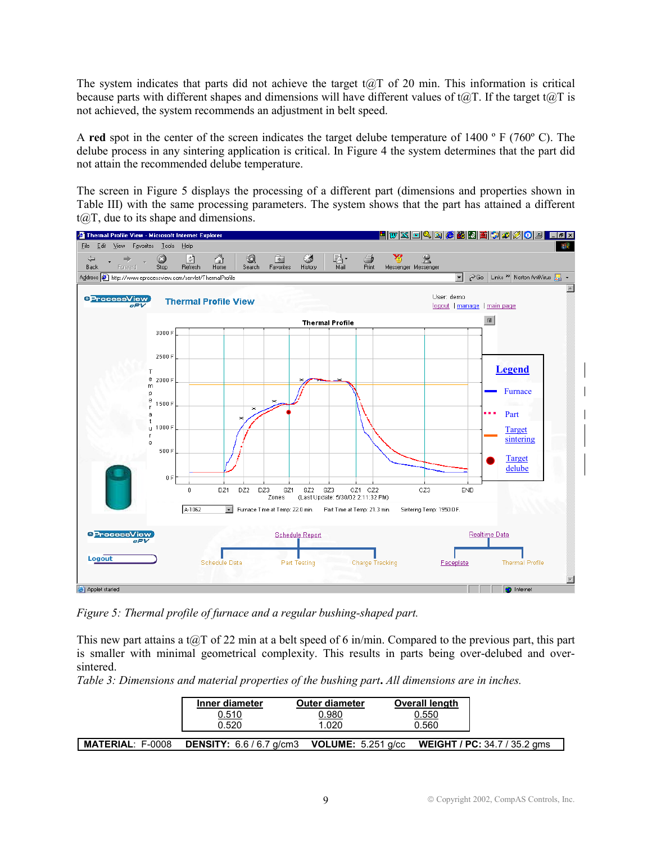The system indicates that parts did not achieve the target t $a$ T of 20 min. This information is critical because parts with different shapes and dimensions will have different values of  $t@T$ . If the target  $t@T$  is not achieved, the system recommends an adjustment in belt speed.

A **red** spot in the center of the screen indicates the target delube temperature of 1400 º F (760º C). The delube process in any sintering application is critical. In Figure 4 the system determines that the part did not attain the recommended delube temperature.

The screen in Figure 5 displays the processing of a different part (dimensions and properties shown in Table III) with the same processing parameters. The system shows that the part has attained a different  $t(\widehat{\omega})$ , due to its shape and dimensions.



*Figure 5: Thermal profile of furnace and a regular bushing-shaped part.* 

This new part attains a t $\omega$ T of 22 min at a belt speed of 6 in/min. Compared to the previous part, this part is smaller with minimal geometrical complexity. This results in parts being over-delubed and oversintered.

*Table 3: Dimensions and material properties of the bushing part***.** *All dimensions are in inches.* 

|                         | Inner diameter                    | <b>Outer diameter</b>       | Overall length |                                     |
|-------------------------|-----------------------------------|-----------------------------|----------------|-------------------------------------|
|                         | 0.510                             | 0.980                       | 0.550          |                                     |
|                         | 0.520                             | 1.020                       | 0.560          |                                     |
|                         |                                   |                             |                |                                     |
| <b>MATERIAL: F-0008</b> | <b>DENSITY:</b> $6.6 / 6.7$ g/cm3 | <b>VOLUME:</b> $5.251$ g/cc |                | <b>WEIGHT / PC: 34.7 / 35.2 gms</b> |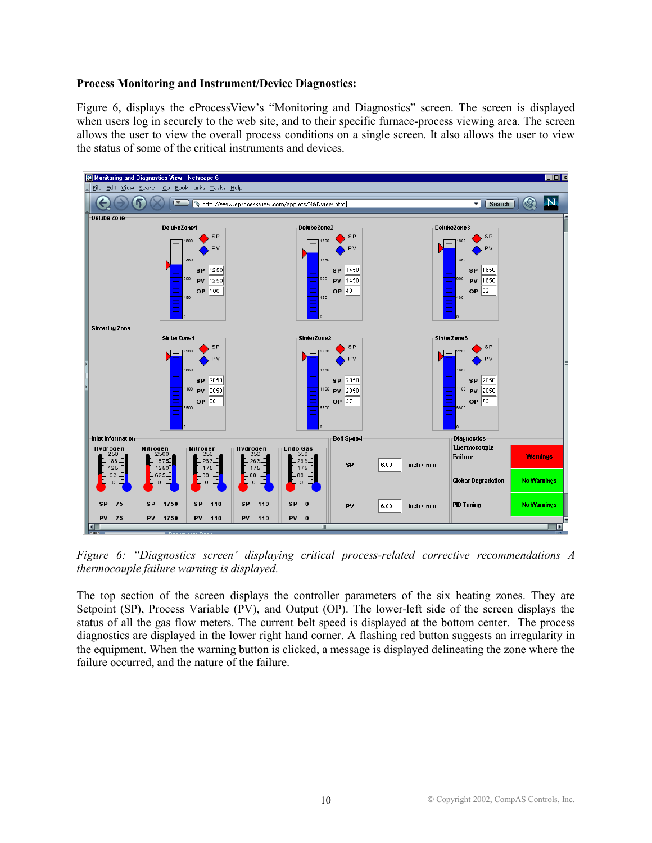### **Process Monitoring and Instrument/Device Diagnostics:**

Figure 6, displays the eProcessView's "Monitoring and Diagnostics" screen. The screen is displayed when users log in securely to the web site, and to their specific furnace-process viewing area. The screen allows the user to view the overall process conditions on a single screen. It also allows the user to view the status of some of the critical instruments and devices.



*Figure 6: "Diagnostics screen' displaying critical process-related corrective recommendations A thermocouple failure warning is displayed.* 

The top section of the screen displays the controller parameters of the six heating zones. They are Setpoint (SP), Process Variable (PV), and Output (OP). The lower-left side of the screen displays the status of all the gas flow meters. The current belt speed is displayed at the bottom center. The process diagnostics are displayed in the lower right hand corner. A flashing red button suggests an irregularity in the equipment. When the warning button is clicked, a message is displayed delineating the zone where the failure occurred, and the nature of the failure.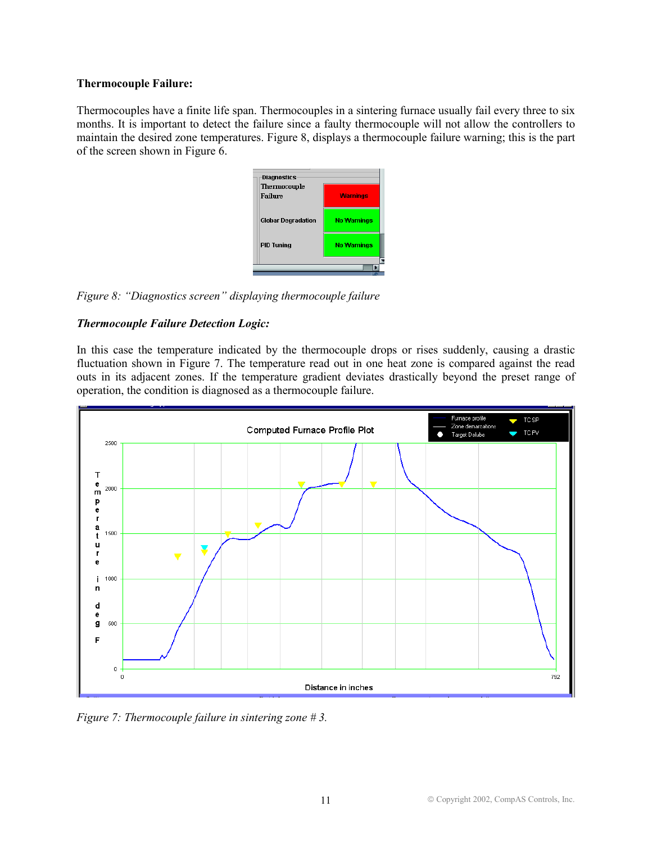# **Thermocouple Failure:**

Thermocouples have a finite life span. Thermocouples in a sintering furnace usually fail every three to six months. It is important to detect the failure since a faulty thermocouple will not allow the controllers to maintain the desired zone temperatures. Figure 8, displays a thermocouple failure warning; this is the part of the screen shown in Figure 6.



*Figure 8: "Diagnostics screen" displaying thermocouple failure*

# *Thermocouple Failure Detection Logic:*

In this case the temperature indicated by the thermocouple drops or rises suddenly, causing a drastic fluctuation shown in Figure 7. The temperature read out in one heat zone is compared against the read outs in its adjacent zones. If the temperature gradient deviates drastically beyond the preset range of operation, the condition is diagnosed as a thermocouple failure.



*Figure 7: Thermocouple failure in sintering zone # 3.*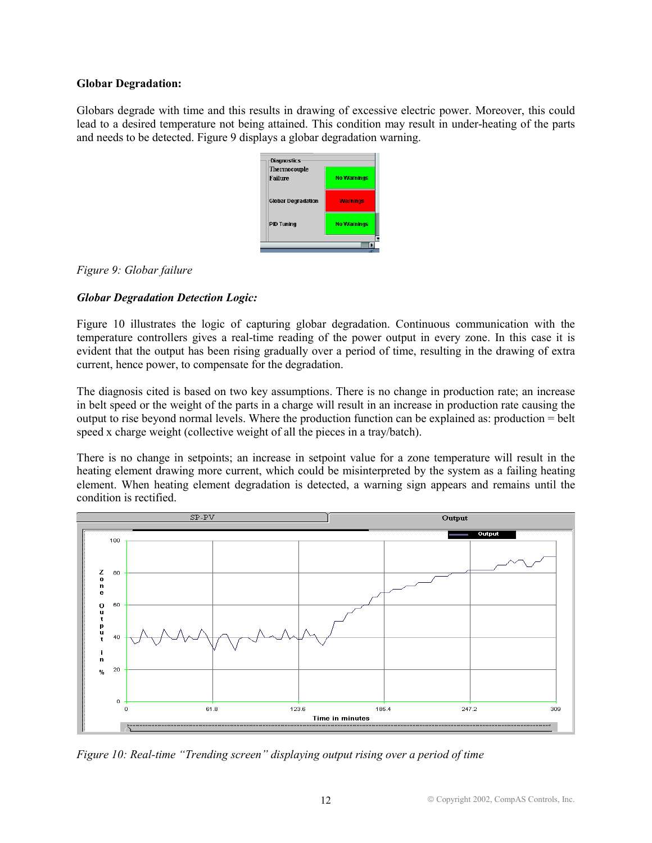## **Globar Degradation:**

Globars degrade with time and this results in drawing of excessive electric power. Moreover, this could lead to a desired temperature not being attained. This condition may result in under-heating of the parts and needs to be detected. Figure 9 displays a globar degradation warning.



*Figure 9: Globar failure*

# *Globar Degradation Detection Logic:*

Figure 10 illustrates the logic of capturing globar degradation. Continuous communication with the temperature controllers gives a real-time reading of the power output in every zone. In this case it is evident that the output has been rising gradually over a period of time, resulting in the drawing of extra current, hence power, to compensate for the degradation.

The diagnosis cited is based on two key assumptions. There is no change in production rate; an increase in belt speed or the weight of the parts in a charge will result in an increase in production rate causing the output to rise beyond normal levels. Where the production function can be explained as: production = belt speed x charge weight (collective weight of all the pieces in a tray/batch).

There is no change in setpoints; an increase in setpoint value for a zone temperature will result in the heating element drawing more current, which could be misinterpreted by the system as a failing heating element. When heating element degradation is detected, a warning sign appears and remains until the condition is rectified.



*Figure 10: Real-time "Trending screen" displaying output rising over a period of time*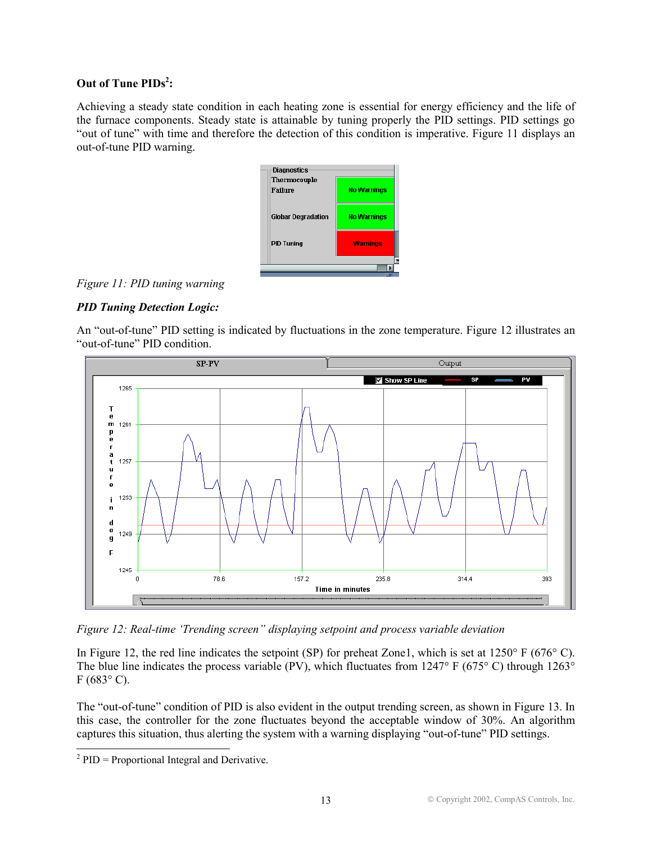# Out of Tune PIDs<sup>2</sup>:

Achieving a steady state condition in each heating zone is essential for energy efficiency and the life of the furnace components. Steady state is attainable by tuning properly the PID settings. PID settings go "out of tune" with time and therefore the detection of this condition is imperative. Figure 11 displays an out-of-tune PID warning.



*Figure 11: PID tuning warning* 

# *PID Tuning Detection Logic:*

An "out-of-tune" PID setting is indicated by fluctuations in the zone temperature. Figure 12 illustrates an "out-of-tune" PID condition.



*Figure 12: Real-time 'Trending screen" displaying setpoint and process variable deviation* 

In Figure 12, the red line indicates the setpoint (SP) for preheat Zone1, which is set at 1250° F (676° C). The blue line indicates the process variable (PV), which fluctuates from 1247° F (675° C) through 1263°  $F(683^{\circ} C)$ .

The "out-of-tune" condition of PID is also evident in the output trending screen, as shown in Figure 13. In this case, the controller for the zone fluctuates beyond the acceptable window of 30%. An algorithm captures this situation, thus alerting the system with a warning displaying "out-of-tune" PID settings.

 $\overline{a}$ 

 $2$  PID = Proportional Integral and Derivative.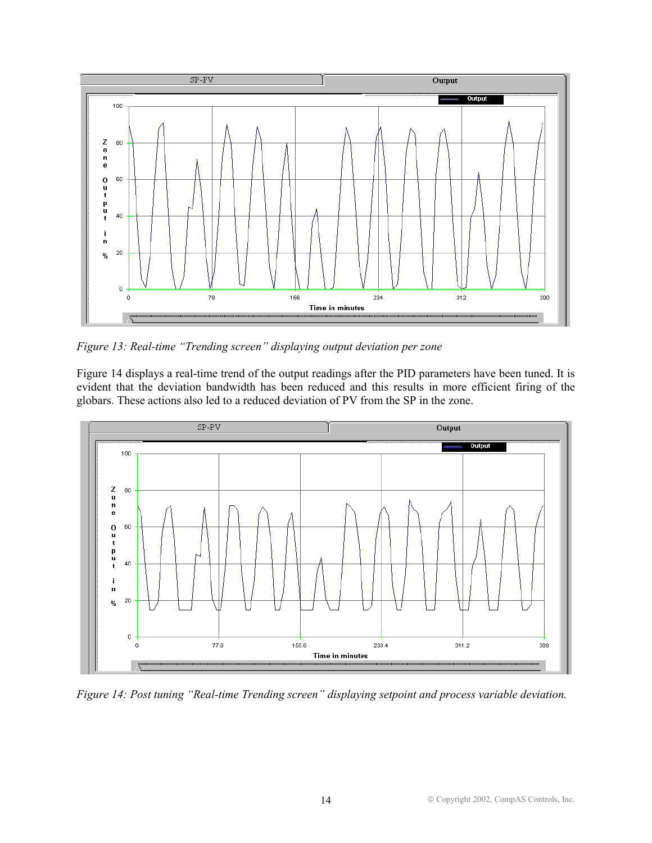

*Figure 13: Real-time "Trending screen" displaying output deviation per zone*

Figure 14 displays a real-time trend of the output readings after the PID parameters have been tuned. It is evident that the deviation bandwidth has been reduced and this results in more efficient firing of the globars. These actions also led to a reduced deviation of PV from the SP in the zone.



*Figure 14: Post tuning "Real-time Trending screen" displaying setpoint and process variable deviation.*